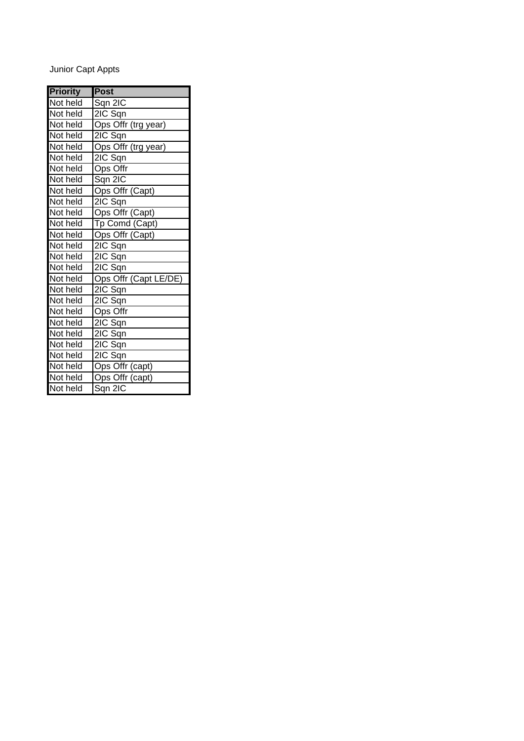# Junior Capt Appts

| <b>Priority</b> | <b>Post</b>           |
|-----------------|-----------------------|
| Not held        | Sqn 2IC               |
| Not held        | 2IC Sqn               |
| Not held        | Ops Offr (trg year)   |
| Not held        | 2IC Sqn               |
| Not held        | Ops Offr (trg year)   |
| Not held        | 2IC Sqn               |
| Not held        | Ops Offr              |
| Not held        | Sqn 2IC               |
| Not held        | Ops Offr (Capt)       |
| Not held        | $2IC$ Sqn             |
| Not held        | Ops Offr (Capt)       |
| Not held        | Tp Comd (Capt)        |
| Not held        | Ops Offr (Capt)       |
| Not held        | 2IC Sqn               |
| Not held        | 2IC Sqn               |
| Not held        | 2IC Sqn               |
| Not held        | Ops Offr (Capt LE/DE) |
| Not held        | 2IC Sqn               |
| Not held        | 2IC Sqn               |
| Not held        | Ops Offr              |
| Not held        | 2IC Sqn               |
| Not held        | 2IC Sqn               |
| Not held        | $2IC$ Sqn             |
| Not held        | 2IC Sqn               |
| Not held        | Ops Offr (capt)       |
| Not held        | Ops Offr (capt)       |
| Not held        | Sqn 2IC               |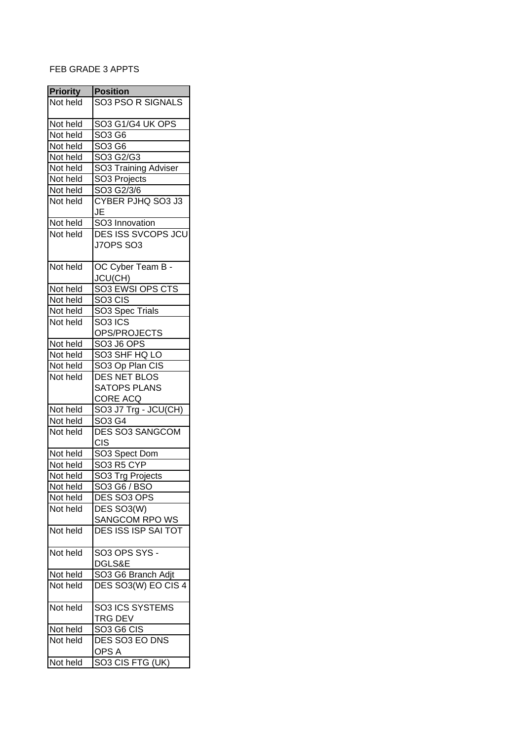#### FEB GRADE 3 APPTS

| <b>Priority</b> | <b>Position</b>                                |
|-----------------|------------------------------------------------|
| Not held        | <b>SO3 PSO R SIGNALS</b>                       |
|                 |                                                |
| Not held        | SO3 G1/G4 UK OPS                               |
| Not held        | SO3 G6                                         |
| Not held        | $\overline{SO3}$ G6                            |
| Not held        | SO3 G2/G3                                      |
| Not held        | SO3 Training Adviser                           |
| Not held        | SO3 Projects                                   |
| Not held        | SO3 G2/3/6                                     |
| Not held        | CYBER PJHQ SO3 J3                              |
|                 | JE                                             |
| Not held        | SO3 Innovation                                 |
| Not held        | DES ISS SVCOPS JCU                             |
|                 | J7OPS SO3                                      |
|                 |                                                |
| Not held        | OC Cyber Team B -                              |
|                 | JCU(CH)                                        |
| Not held        | SO3 EWSI OPS CTS                               |
| Not held        | SO <sub>3</sub> CIS                            |
| Not held        | SO3 Spec Trials                                |
| Not held        | SO <sub>3</sub> ICS                            |
|                 | OPS/PROJECTS                                   |
| Not held        | SO3 J6 OPS                                     |
| Not held        | SO3 SHF HQ LO                                  |
| Not held        | SO3 Op Plan CIS                                |
| Not held        | <b>DES NET BLOS</b>                            |
|                 | <b>SATOPS PLANS</b>                            |
|                 | CORE ACQ                                       |
| Not held        | SO3 J7 Trg - JCU(CH)                           |
| Not held        | SO3 G4                                         |
| Not held        | <b>DES SO3 SANGCOM</b>                         |
|                 | <b>CIS</b>                                     |
| Not held        | SO <sub>3</sub> Spect Dom                      |
| Not held        | SO3 R5 CYP                                     |
| Not held        | SO3 Trg Projects                               |
| Not held        | SO3 G6 / BSO                                   |
| Not held        | DES SO3 OPS                                    |
| Not held        | DES SO3(W)                                     |
|                 | SANGCOM RPO WS                                 |
| Not held        | <b>DES ISS ISP SAI TOT</b>                     |
|                 |                                                |
| Not held        | SO3 OPS SYS -                                  |
|                 | DGLS&E                                         |
| Not held        | SO <sub>3</sub> G <sub>6</sub> Branch Adjt     |
| Not held        | DES SO3(W) EO CIS 4                            |
|                 |                                                |
| Not held        | SO3 ICS SYSTEMS                                |
|                 | TRG DEV                                        |
| Not held        | SO <sub>3</sub> G <sub>6</sub> C <sub>IS</sub> |
| Not held        | DES SO3 EO DNS                                 |
|                 | OPS A                                          |
| Not held        | SO3 CIS FTG (UK)                               |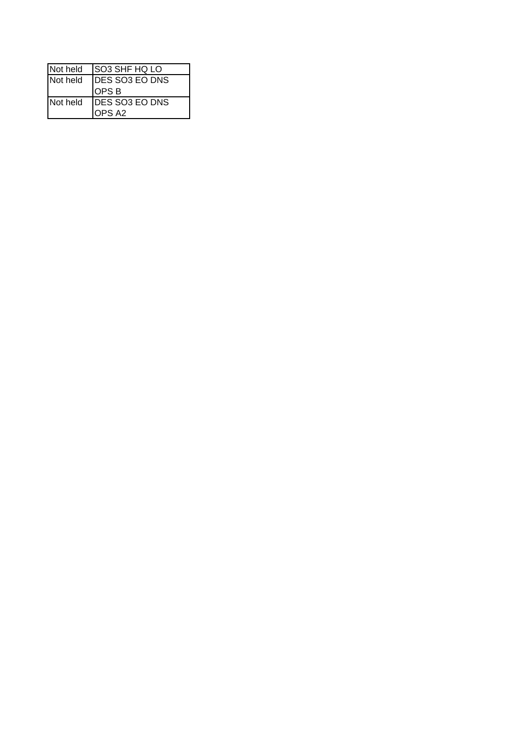| Not held | <b>ISO3 SHF HQ LO</b>            |  |
|----------|----------------------------------|--|
| Not held | <b>IDES SO3 EO DNS</b><br>OPS B  |  |
| Not held | <b>IDES SO3 EO DNS</b><br>OPS A2 |  |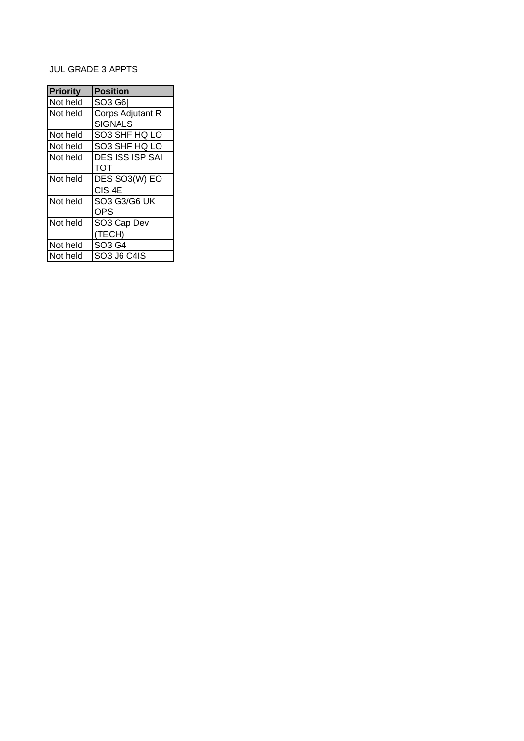# JUL GRADE 3 APPTS

| <b>Priority</b> | <b>Position</b>        |
|-----------------|------------------------|
| Not held        | SO3 G6                 |
| Not held        | Corps Adjutant R       |
|                 | <b>SIGNALS</b>         |
| Not held        | SO3 SHF HQ LO          |
| Not held        | SO3 SHF HQ LO          |
| Not held        | <b>DES ISS ISP SAI</b> |
|                 | TOT                    |
| Not held        | DES SO3(W) EO          |
|                 | CIS <sub>4E</sub>      |
| Not held        | <b>SO3 G3/G6 UK</b>    |
|                 | OPS                    |
| Not held        | SO3 Cap Dev            |
|                 | (TECH)                 |
| Not held        | SO3 G4                 |
| Not held        | SO3 J6 C4IS            |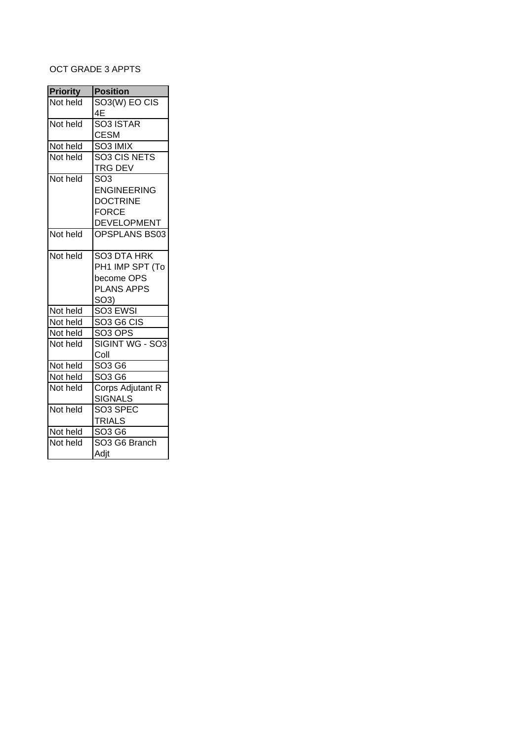## OCT GRADE 3 APPTS

| <b>Priority</b> | <b>Position</b>          |
|-----------------|--------------------------|
| Not held        | SO3(W) EO CIS            |
|                 | 4E                       |
| Not held        | SO <sub>3</sub> ISTAR    |
|                 | <b>CESM</b>              |
| Not held        | SO3 IMIX                 |
| Not held        | SO <sub>3</sub> CIS NETS |
|                 | TRG DEV                  |
| Not held        | $\overline{SO3}$         |
|                 | <b>ENGINEERING</b>       |
|                 | <b>DOCTRINE</b>          |
|                 | <b>FORCE</b>             |
|                 | <b>DEVELOPMENT</b>       |
| Not held        | OPSPLANS BS03            |
|                 |                          |
| Not held        | SO3 DTA HRK              |
|                 | PH1 IMP SPT (To          |
|                 | become OPS               |
|                 | <b>PLANS APPS</b>        |
|                 | SO3)                     |
| Not held        | SO <sub>3</sub> EWSI     |
| Not held        | <b>SO3 G6 CIS</b>        |
| Not held        | SO <sub>3</sub> OPS      |
| Not held        | SIGINT WG - SO3          |
|                 | Coll                     |
| Not held        | SO3 G6                   |
| Not held        | SO3 G6                   |
| Not held        | Corps Adjutant R         |
|                 | <b>SIGNALS</b>           |
| Not held        | SO3 SPEC                 |
|                 | <b>TRIALS</b>            |
| Not held        | SO3 G6                   |
| Not held        | SO3 G6 Branch            |
|                 | Adjt                     |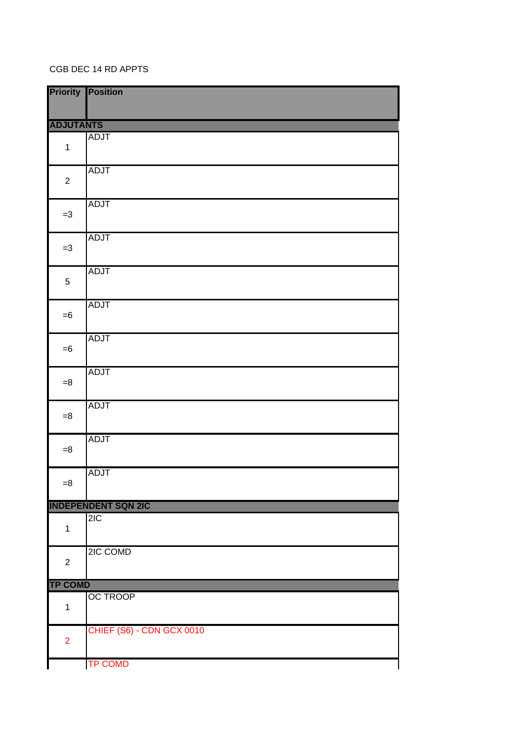#### CGB DEC 14 RD APPTS

|                  | <b>Priority Position</b>   |
|------------------|----------------------------|
| <b>ADJUTANTS</b> |                            |
| $\mathbf 1$      | <b>ADJT</b>                |
| $\overline{2}$   | <b>ADJT</b>                |
| $=3$             | <b>ADJT</b>                |
| $=3$             | <b>ADJT</b>                |
| $\sqrt{5}$       | <b>ADJT</b>                |
| $=6$             | <b>ADJT</b>                |
| $= 6$            | <b>ADJT</b>                |
| $= 8$            | <b>ADJT</b>                |
| $= 8$            | <b>ADJT</b>                |
| $= 8$            | <b>ADJT</b>                |
| $= 8$            | <b>ADJT</b>                |
|                  | <b>INDEPENDENT SQN 2IC</b> |
| $\mathbf 1$      | 2IC                        |
| $\boldsymbol{2}$ | 2IC COMD                   |
| <b>TP COMD</b>   |                            |
| $\mathbf{1}$     | <b>OC TROOP</b>            |
| $\overline{2}$   | CHIEF (S6) - CDN GCX 0010  |
|                  | <b>TP COMD</b>             |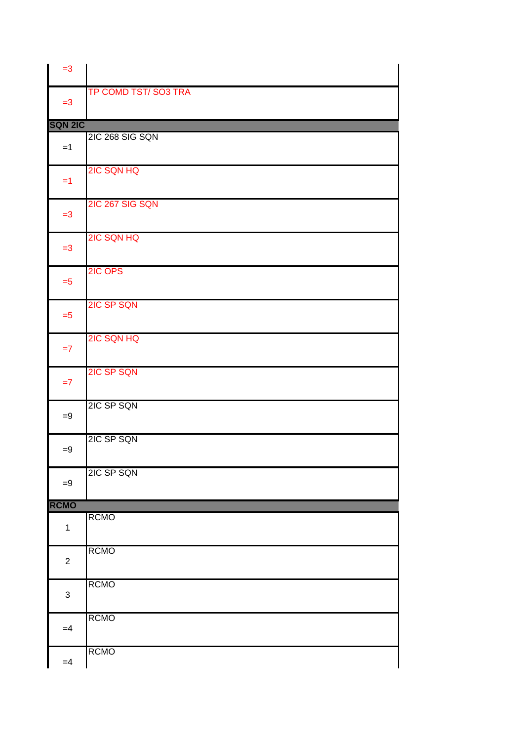| $=3$                      |                     |
|---------------------------|---------------------|
| $=3$                      | TP COMD TST/SO3 TRA |
| <b>SQN 2IC</b>            |                     |
| $=1$                      | 2IC 268 SIG SQN     |
| $=1$                      | 2IC SQN HQ          |
| $=3$                      | 2IC 267 SIG SQN     |
| $=3$                      | 2IC SQN HQ          |
| $=5$                      | 2IC OPS             |
| $=5$                      | 2IC SP SQN          |
| $=7$                      | 2IC SQN HQ          |
| $=7$                      | 2IC SP SQN          |
| $=9$                      | 2IC SP SQN          |
| $=9$                      | 2IC SP SQN          |
| $=9$                      | 2IC SP SQN          |
| <b>RCMO</b>               |                     |
| $\mathbf{1}$              | <b>RCMO</b>         |
| $\boldsymbol{2}$          | <b>RCMO</b>         |
| $\ensuremath{\mathsf{3}}$ | <b>RCMO</b>         |
| $=4$                      | <b>RCMO</b>         |
| $=4$                      | <b>RCMO</b>         |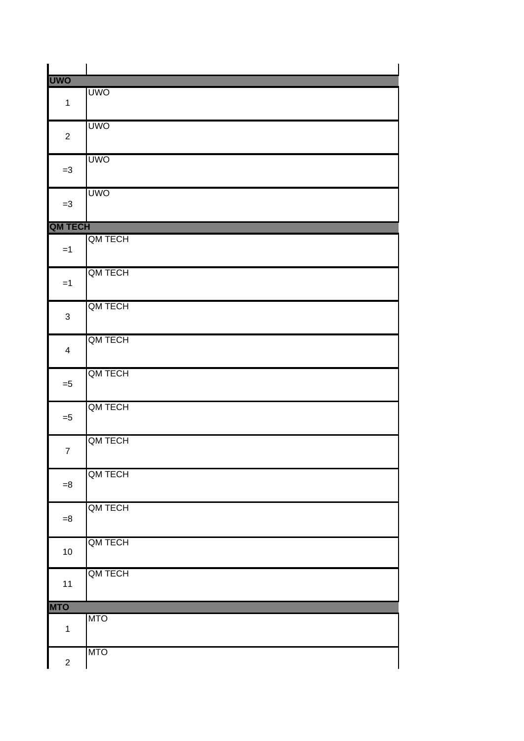| <b>UWO</b>     |            |
|----------------|------------|
| $\mathbf 1$    | <b>UWO</b> |
|                |            |
|                | <b>UWO</b> |
| $\overline{2}$ |            |
|                |            |
| $=3$           | <b>UWO</b> |
|                |            |
|                | <b>UWO</b> |
| $=3$           |            |
|                |            |
| <b>QM TECH</b> |            |
| $=1$           | QM TECH    |
|                |            |
|                | QM TECH    |
| $=1$           |            |
|                |            |
| 3              | QM TECH    |
|                |            |
|                | QM TECH    |
| 4              |            |
|                | QM TECH    |
| $= 5$          |            |
|                |            |
|                | QM TECH    |
| $= 5$          |            |
|                | QM TECH    |
| $\overline{7}$ |            |
|                |            |
|                | QM TECH    |
| $=8$           |            |
|                | QM TECH    |
| $= 8$          |            |
|                |            |
| $10$           | QM TECH    |
|                |            |
|                | QM TECH    |
| 11             |            |
|                |            |
| <b>MTO</b>     | <b>MTO</b> |
| $\mathbf 1$    |            |
|                |            |
|                | <b>MTO</b> |
| $\overline{c}$ |            |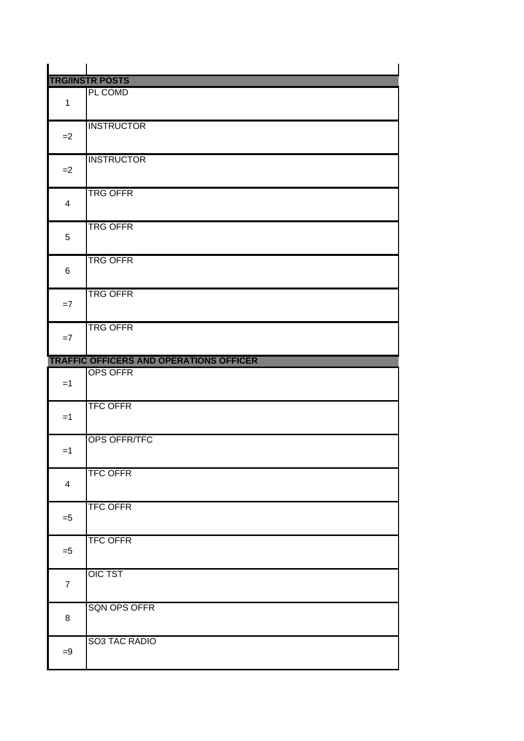|                | <b>TRG/INSTR POSTS</b>                         |
|----------------|------------------------------------------------|
|                | PL COMD                                        |
| $\mathbf{1}$   |                                                |
|                |                                                |
| $=2$           | <b>INSTRUCTOR</b>                              |
|                |                                                |
|                | <b>INSTRUCTOR</b>                              |
| $=2$           |                                                |
|                |                                                |
|                | <b>TRG OFFR</b>                                |
| $\overline{4}$ |                                                |
|                |                                                |
|                | <b>TRG OFFR</b>                                |
| 5              |                                                |
|                |                                                |
|                | <b>TRG OFFR</b>                                |
| 6              |                                                |
|                | <b>TRG OFFR</b>                                |
| $=7$           |                                                |
|                |                                                |
|                | <b>TRG OFFR</b>                                |
| $=7$           |                                                |
|                |                                                |
|                | <b>TRAFFIC OFFICERS AND OPERATIONS OFFICER</b> |
|                |                                                |
|                | <b>OPS OFFR</b>                                |
| $=1$           |                                                |
|                |                                                |
|                | <b>TFC OFFR</b>                                |
| $=1$           |                                                |
|                |                                                |
|                | OPS OFFR/TFC                                   |
| $=1$           |                                                |
|                |                                                |
| $\overline{4}$ | <b>TFC OFFR</b>                                |
|                |                                                |
|                | <b>TFC OFFR</b>                                |
| $= 5$          |                                                |
|                |                                                |
|                | <b>TFC OFFR</b>                                |
| $= 5$          |                                                |
|                |                                                |
| $\overline{7}$ | <b>OIC TST</b>                                 |
|                |                                                |
|                | <b>SQN OPS OFFR</b>                            |
| 8              |                                                |
|                |                                                |
|                | SO3 TAC RADIO                                  |
| $=9$           |                                                |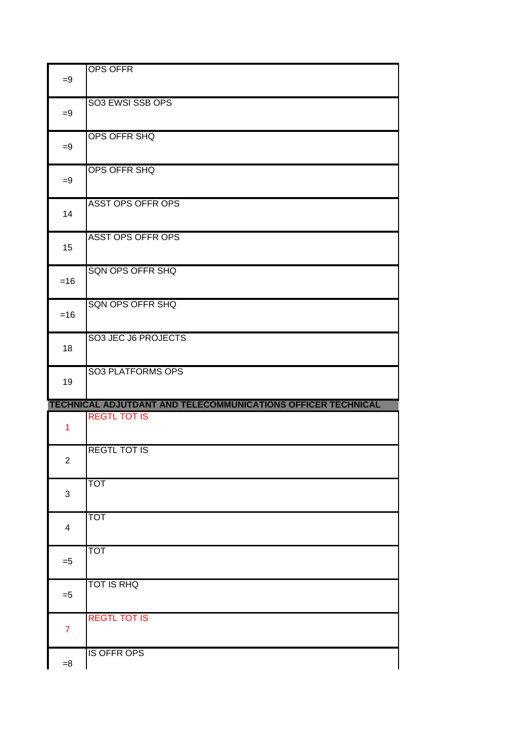| $=9$           | <b>OPS OFFR</b>                                              |  |
|----------------|--------------------------------------------------------------|--|
| $=9$           | SO3 EWSI SSB OPS                                             |  |
| $=9$           | OPS OFFR SHQ                                                 |  |
| $=9$           | <b>OPS OFFR SHQ</b>                                          |  |
| 14             | <b>ASST OPS OFFR OPS</b>                                     |  |
| 15             | <b>ASST OPS OFFR OPS</b>                                     |  |
| $=16$          | <b>SQN OPS OFFR SHQ</b>                                      |  |
| $=16$          | <b>SQN OPS OFFR SHQ</b>                                      |  |
| 18             | SO3 JEC J6 PROJECTS                                          |  |
| 19             | <b>SO3 PLATFORMS OPS</b>                                     |  |
|                | TECHNICAL ADJUTDANT AND TELECOMMUNICATIONS OFFICER TECHNICAL |  |
| $\mathbf{1}$   | <b>REGTL TOT IS</b>                                          |  |
| 2              | <b>REGTL TOT IS</b>                                          |  |
| 3              | <b>TOT</b>                                                   |  |
| 4              | <b>TOT</b>                                                   |  |
| $= 5$          | <b>TOT</b>                                                   |  |
| $= 5$          | <b>TOT IS RHQ</b>                                            |  |
| $\overline{7}$ | <b>REGTL TOT IS</b>                                          |  |
|                |                                                              |  |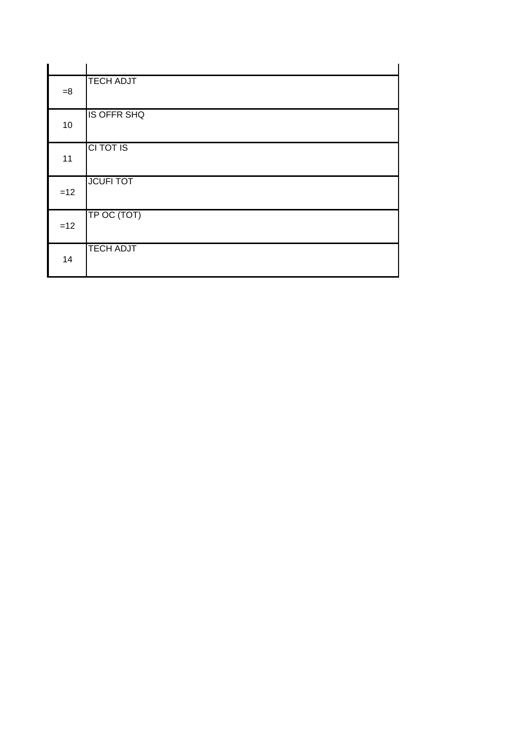| $=8$  | <b>TECH ADJT</b>   |
|-------|--------------------|
| 10    | <b>IS OFFR SHQ</b> |
| 11    | CI TOT IS          |
| $=12$ | <b>JCUFI TOT</b>   |
| $=12$ | TP OC (TOT)        |
| 14    | <b>TECH ADJT</b>   |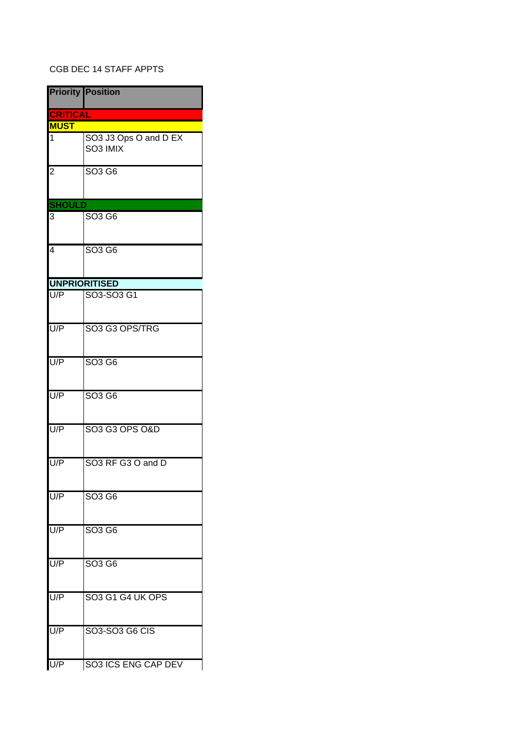### CGB DEC 14 STAFF APPTS

|                 | <b>Priority Position</b>                  |
|-----------------|-------------------------------------------|
| <b>CRITICAL</b> |                                           |
| <b>MUST</b>     |                                           |
| 1               | SO3 J3 Ops O and D EX<br>SO3 IMIX         |
| $\overline{2}$  | SO <sub>3</sub> G <sub>6</sub>            |
| <b>SHOULD</b>   |                                           |
| 3               | SO <sub>3</sub> G <sub>6</sub>            |
| $\overline{4}$  | SO <sub>3</sub> G <sub>6</sub>            |
|                 | <b>UNPRIORITISED</b>                      |
| U/P             | SO3-SO3 G1                                |
| U/P             | SO3 G3 OPS/TRG                            |
| U/P             | SO <sub>3</sub> G <sub>6</sub>            |
| U/P             | SO <sub>3</sub> G <sub>6</sub>            |
| U/P             | SO3 G3 OPS O&D                            |
| U/P             | SO <sub>3</sub> RF G <sub>3</sub> O and D |
| U/P             | SO <sub>3</sub> G <sub>6</sub>            |
| U/P             | SO <sub>3</sub> G <sub>6</sub>            |
| U/P             | SO3 G6                                    |
| U/P             | SO3 G1 G4 UK OPS                          |
| U/P             | SO3-SO3 G6 CIS                            |
| U/P             | SO3 ICS ENG CAP DEV                       |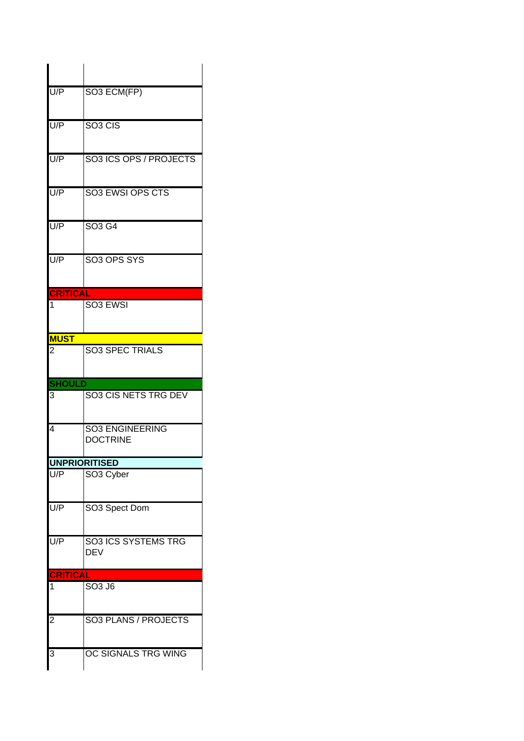| $\overline{UP}$     | SO3 ECM(FP)                                   |
|---------------------|-----------------------------------------------|
| U/P                 | SO <sub>3</sub> CIS                           |
| U/P                 | SO3 ICS OPS / PROJECTS                        |
| U/P                 | <b>SO3 EWSI OPS CTS</b>                       |
| U/P                 | SO <sub>3</sub> G <sub>4</sub>                |
| U/P                 | SO <sub>3</sub> OPS SYS                       |
| <b>CRITICAL</b>     |                                               |
| 1                   | SO <sub>3</sub> EWSI                          |
| <b>MUST</b>         |                                               |
| 2                   | <b>SO3 SPEC TRIALS</b>                        |
|                     |                                               |
| <b>SHOULD</b>       |                                               |
| 3                   | SO3 CIS NETS TRG DEV                          |
| 4                   | <b>SO3 ENGINEERING</b><br><b>DOCTRINE</b>     |
|                     |                                               |
| U/P                 | <b>UNPRIORITISED</b><br>SO <sub>3</sub> Cyber |
| U/P                 | SO3 Spect Dom                                 |
| U/P                 | <b>SO3 ICS SYSTEMS TRG</b><br><b>DEV</b>      |
| <b>CRITICAL</b>     |                                               |
| 1                   | SO3 J6                                        |
| $\overline{c}$<br>3 | SO3 PLANS / PROJECTS<br>OC SIGNALS TRG WING   |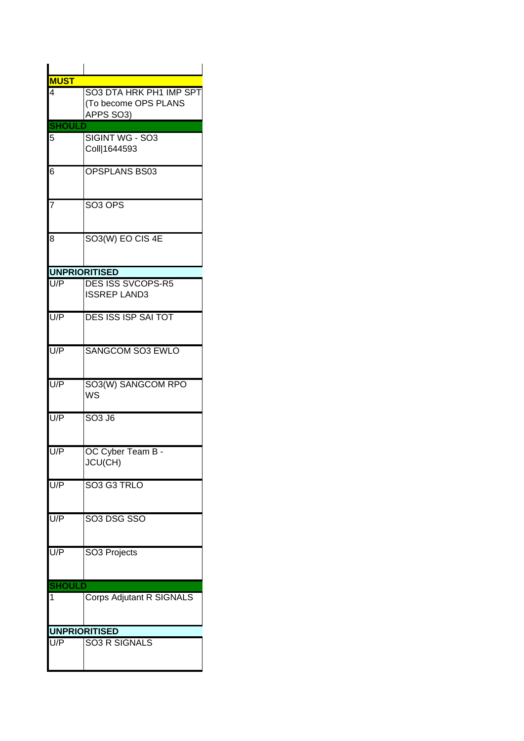| <b>MUST</b>          |                                                              |
|----------------------|--------------------------------------------------------------|
| $\overline{4}$       | SO3 DTA HRK PH1 IMP SPT<br>(To become OPS PLANS<br>APPS SO3) |
| <b>SHOULI</b>        |                                                              |
| 5                    | SIGINT WG - SO3<br>Coll 1644593                              |
| 6                    | <b>OPSPLANS BS03</b>                                         |
| 7                    | SO <sub>3</sub> OPS                                          |
| 8                    | SO3(W) EO CIS 4E                                             |
| <b>UNPRIORITISED</b> |                                                              |
| U/P                  | <b>DES ISS SVCOPS-R5</b><br><b>ISSREP LAND3</b>              |
| U/P                  | <b>DES ISS ISP SAI TOT</b>                                   |
| U/P                  | <b>SANGCOM SO3 EWLO</b>                                      |
| U/P                  | SO3(W) SANGCOM RPO<br>WS                                     |
| U/P                  | SO <sub>3</sub> J <sub>6</sub>                               |
| U/P                  | OC Cyber Team B -<br>JCU(CH)                                 |
| U/P                  | SO <sub>3</sub> G <sub>3</sub> TRLO                          |
| U/P                  | SO3 DSG SSO                                                  |
| U/P                  | SO <sub>3</sub> Projects                                     |
| <b>SHOULD</b>        |                                                              |
| 1                    | Corps Adjutant R SIGNALS                                     |
| <b>UNPRIORITISED</b> |                                                              |
| U/P                  | <b>SO3 R SIGNALS</b>                                         |